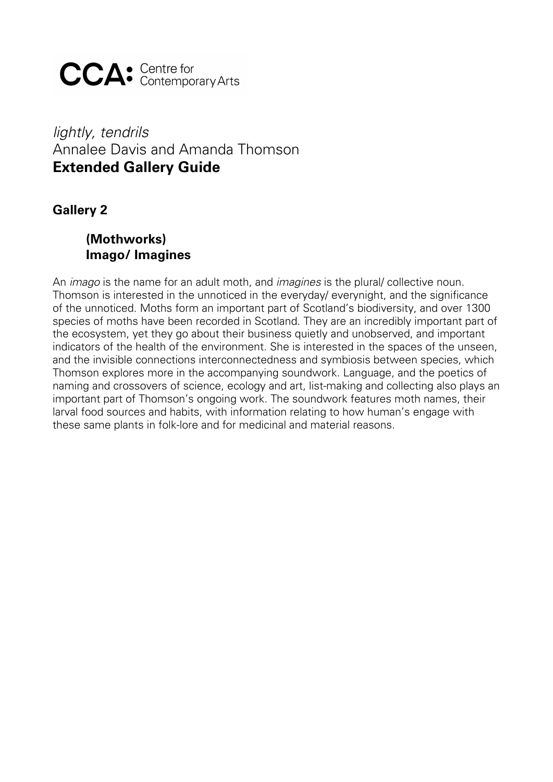**CCA**: Centre for

# *lightly, tendrils* Annalee Davis and Amanda Thomson **Extended Gallery Guide**

**Gallery 2**

## **(Mothworks) Imago/ Imagines**

An *imago* is the name for an adult moth, and *imagines* is the plural/ collective noun. Thomson is interested in the unnoticed in the everyday/ everynight, and the significance of the unnoticed. Moths form an important part of Scotland's biodiversity, and over 1300 species of moths have been recorded in Scotland. They are an incredibly important part of the ecosystem, yet they go about their business quietly and unobserved, and important indicators of the health of the environment. She is interested in the spaces of the unseen, and the invisible connections interconnectedness and symbiosis between species, which Thomson explores more in the accompanying soundwork. Language, and the poetics of naming and crossovers of science, ecology and art, list-making and collecting also plays an important part of Thomson's ongoing work. The soundwork features moth names, their larval food sources and habits, with information relating to how human's engage with these same plants in folk-lore and for medicinal and material reasons.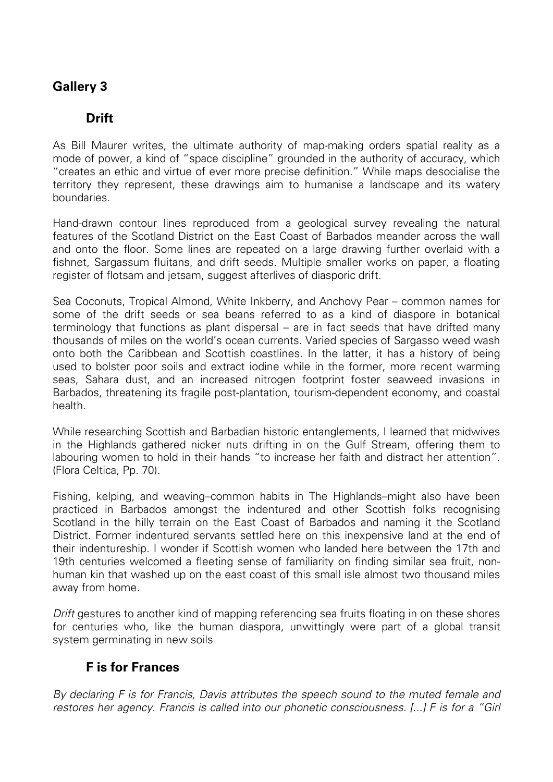## **Gallery 3**

### **Drift**

As Bill Maurer writes, the ultimate authority of map-making orders spatial reality as a mode of power, a kind of "space discipline" grounded in the authority of accuracy, which "creates an ethic and virtue of ever more precise definition." While maps desocialise the territory they represent, these drawings aim to humanise a landscape and its watery boundaries.

Hand-drawn contour lines reproduced from a geological survey revealing the natural features of the Scotland District on the East Coast of Barbados meander across the wall and onto the floor. Some lines are repeated on a large drawing further overlaid with a fishnet, Sargassum fluitans, and drift seeds. Multiple smaller works on paper, a floating register of flotsam and jetsam, suggest afterlives of diasporic drift.

Sea Coconuts, Tropical Almond, White Inkberry, and Anchovy Pear – common names for some of the drift seeds or sea beans referred to as a kind of diaspore in botanical terminology that functions as plant dispersal – are in fact seeds that have drifted many thousands of miles on the world's ocean currents. Varied species of Sargasso weed wash onto both the Caribbean and Scottish coastlines. In the latter, it has a history of being used to bolster poor soils and extract iodine while in the former, more recent warming seas, Sahara dust, and an increased nitrogen footprint foster seaweed invasions in Barbados, threatening its fragile post-plantation, tourism-dependent economy, and coastal health.

While researching Scottish and Barbadian historic entanglements, I learned that midwives in the Highlands gathered nicker nuts drifting in on the Gulf Stream, offering them to labouring women to hold in their hands "to increase her faith and distract her attention". (Flora Celtica, Pp. 70).

Fishing, kelping, and weaving–common habits in The Highlands–might also have been practiced in Barbados amongst the indentured and other Scottish folks recognising Scotland in the hilly terrain on the East Coast of Barbados and naming it the Scotland District. Former indentured servants settled here on this inexpensive land at the end of their indentureship. I wonder if Scottish women who landed here between the 17th and 19th centuries welcomed a fleeting sense of familiarity on finding similar sea fruit, nonhuman kin that washed up on the east coast of this small isle almost two thousand miles away from home.

*Drift* gestures to another kind of mapping referencing sea fruits floating in on these shores for centuries who, like the human diaspora, unwittingly were part of a global transit system germinating in new soils

### **[F is for Frances](https://annaleedavis.com/archive/f-is-for-frances?rq=F%20is%20for%20frances)**

*By declaring F is for Francis, Davis attributes the speech sound to the muted female and restores her agency. Francis is called into our phonetic consciousness. [...] F is for a "Girl*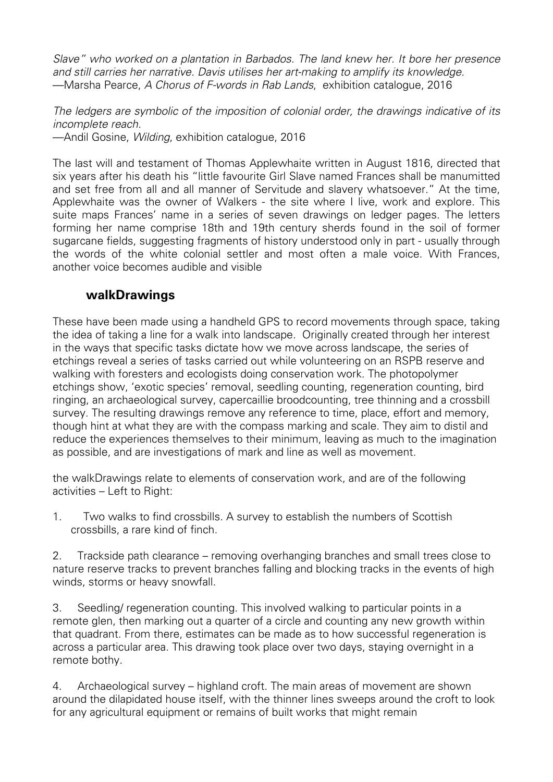*Slave" who worked on a plantation in Barbados. The land knew her. It bore her presence and still carries her narrative. Davis utilises her art-making to amplify its knowledge.* —Marsha Pearce, *A Chorus of F-words in Rab Lands*, exhibition catalogue, 2016

*The ledgers are symbolic of the imposition of colonial order, the drawings indicative of its incomplete reach.*

—Andil Gosine, *Wilding*, exhibition catalogue, 2016

The last will and testament of Thomas Applewhaite written in August 1816, directed that six years after his death his "little favourite Girl Slave named Frances shall be manumitted and set free from all and all manner of Servitude and slavery whatsoever." At the time, Applewhaite was the owner of Walkers - the site where I live, work and explore. This suite maps Frances' name in a series of seven drawings on ledger pages. The letters forming her name comprise 18th and 19th century sherds found in the soil of former sugarcane fields, suggesting fragments of history understood only in part - usually through the words of the white colonial settler and most often a male voice. With Frances, another voice becomes audible and visible

#### **walkDrawings**

These have been made using a handheld GPS to record movements through space, taking the idea of taking a line for a walk into landscape. Originally created through her interest in the ways that specific tasks dictate how we move across landscape, the series of etchings reveal a series of tasks carried out while volunteering on an RSPB reserve and walking with foresters and ecologists doing conservation work. The photopolymer etchings show, 'exotic species' removal, seedling counting, regeneration counting, bird ringing, an archaeological survey, capercaillie broodcounting, tree thinning and a crossbill survey. The resulting drawings remove any reference to time, place, effort and memory, though hint at what they are with the compass marking and scale. They aim to distil and reduce the experiences themselves to their minimum, leaving as much to the imagination as possible, and are investigations of mark and line as well as movement.

the walkDrawings relate to elements of conservation work, and are of the following activities – Left to Right:

1. Two walks to find crossbills. A survey to establish the numbers of Scottish crossbills, a rare kind of finch.

2. Trackside path clearance – removing overhanging branches and small trees close to nature reserve tracks to prevent branches falling and blocking tracks in the events of high winds, storms or heavy snowfall.

3. Seedling/ regeneration counting. This involved walking to particular points in a remote glen, then marking out a quarter of a circle and counting any new growth within that quadrant. From there, estimates can be made as to how successful regeneration is across a particular area. This drawing took place over two days, staying overnight in a remote bothy.

4. Archaeological survey – highland croft. The main areas of movement are shown around the dilapidated house itself, with the thinner lines sweeps around the croft to look for any agricultural equipment or remains of built works that might remain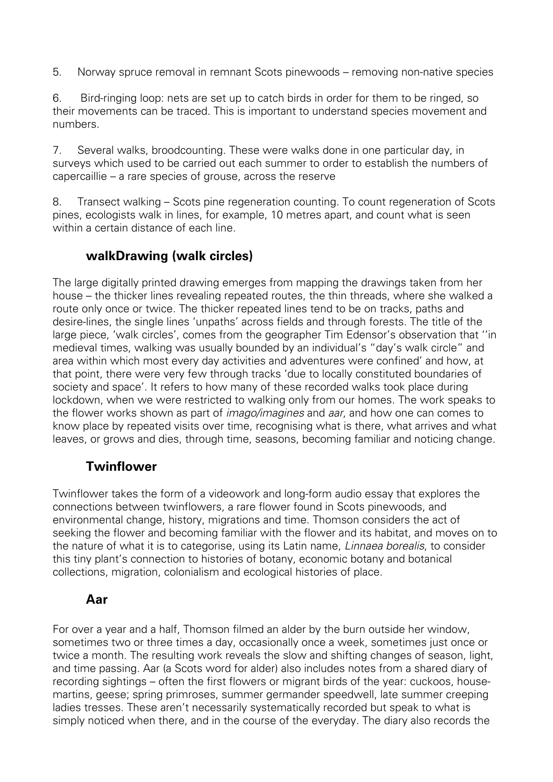5. Norway spruce removal in remnant Scots pinewoods – removing non-native species

6. Bird-ringing loop: nets are set up to catch birds in order for them to be ringed, so their movements can be traced. This is important to understand species movement and numbers.

7. Several walks, broodcounting. These were walks done in one particular day, in surveys which used to be carried out each summer to order to establish the numbers of capercaillie – a rare species of grouse, across the reserve

8. Transect walking – Scots pine regeneration counting. To count regeneration of Scots pines, ecologists walk in lines, for example, 10 metres apart, and count what is seen within a certain distance of each line.

## **walkDrawing (walk circles)**

The large digitally printed drawing emerges from mapping the drawings taken from her house – the thicker lines revealing repeated routes, the thin threads, where she walked a route only once or twice. The thicker repeated lines tend to be on tracks, paths and desire-lines, the single lines 'unpaths' across fields and through forests. The title of the large piece, 'walk circles', comes from the geographer Tim Edensor's observation that ''in medieval times, walking was usually bounded by an individual's "day's walk circle" and area within which most every day activities and adventures were confined' and how, at that point, there were very few through tracks 'due to locally constituted boundaries of society and space'. It refers to how many of these recorded walks took place during lockdown, when we were restricted to walking only from our homes. The work speaks to the flower works shown as part of *imago/imagines* and *aar*, and how one can comes to know place by repeated visits over time, recognising what is there, what arrives and what leaves, or grows and dies, through time, seasons, becoming familiar and noticing change.

## **Twinflower**

Twinflower takes the form of a videowork and long-form audio essay that explores the connections between twinflowers, a rare flower found in Scots pinewoods, and environmental change, history, migrations and time. Thomson considers the act of seeking the flower and becoming familiar with the flower and its habitat, and moves on to the nature of what it is to categorise, using its Latin name, *Linnaea borealis*, to consider this tiny plant's connection to histories of botany, economic botany and botanical collections, migration, colonialism and ecological histories of place.

### **Aar**

For over a year and a half, Thomson filmed an alder by the burn outside her window, sometimes two or three times a day, occasionally once a week, sometimes just once or twice a month. The resulting work reveals the slow and shifting changes of season, light, and time passing. Aar (a Scots word for alder) also includes notes from a shared diary of recording sightings – often the first flowers or migrant birds of the year: cuckoos, housemartins, geese; spring primroses, summer germander speedwell, late summer creeping ladies tresses. These aren't necessarily systematically recorded but speak to what is simply noticed when there, and in the course of the everyday. The diary also records the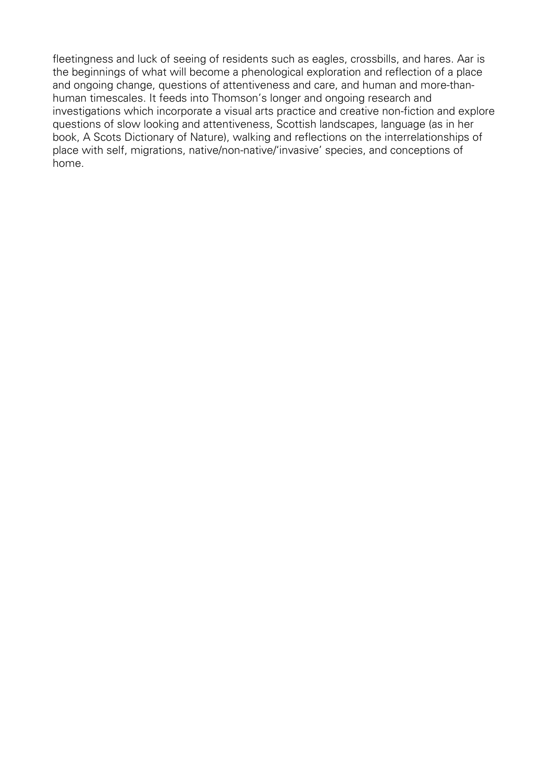fleetingness and luck of seeing of residents such as eagles, crossbills, and hares. Aar is the beginnings of what will become a phenological exploration and reflection of a place and ongoing change, questions of attentiveness and care, and human and more-thanhuman timescales. It feeds into Thomson's longer and ongoing research and investigations which incorporate a visual arts practice and creative non-fiction and explore questions of slow looking and attentiveness, Scottish landscapes, language (as in her book, A Scots Dictionary of Nature), walking and reflections on the interrelationships of place with self, migrations, native/non-native/'invasive' species, and conceptions of home.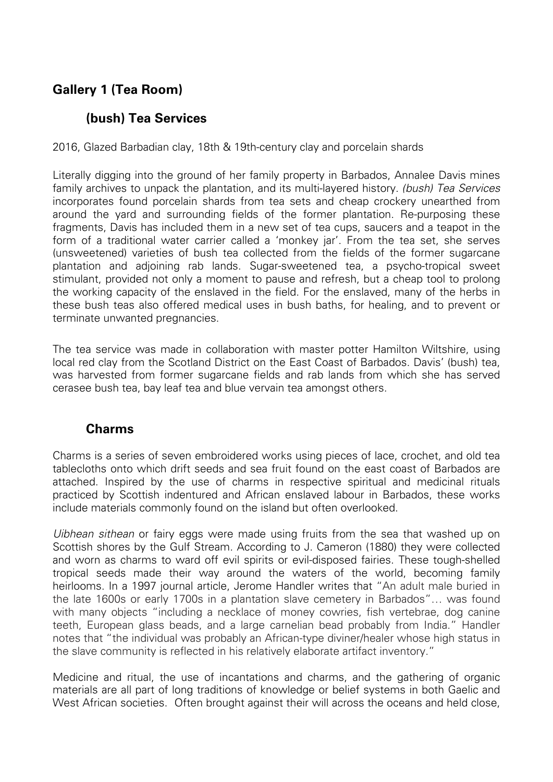## **Gallery 1 (Tea Room)**

### **(bush) Tea Services**

2016, Glazed Barbadian clay, 18th & 19th-century clay and porcelain shards

Literally digging into the ground of her family property in Barbados, Annalee Davis mines family archives to unpack the plantation, and its multi-layered history. *(bush) Tea Services* incorporates found porcelain shards from tea sets and cheap crockery unearthed from around the yard and surrounding fields of the former plantation. Re-purposing these fragments, Davis has included them in a new set of tea cups, saucers and a teapot in the form of a traditional water carrier called a 'monkey jar'. From the tea set, she serves (unsweetened) varieties of bush tea collected from the fields of the former sugarcane plantation and adjoining rab lands. Sugar-sweetened tea, a psycho-tropical sweet stimulant, provided not only a moment to pause and refresh, but a cheap tool to prolong the working capacity of the enslaved in the field. For the enslaved, many of the herbs in these bush teas also offered medical uses in bush baths, for healing, and to prevent or terminate unwanted pregnancies.

The tea service was made in collaboration with master potter Hamilton Wiltshire, using local red clay from the Scotland District on the East Coast of Barbados. Davis' (bush) tea, was harvested from former sugarcane fields and rab lands from which she has served cerasee bush tea, bay leaf tea and blue vervain tea amongst others.

#### **Charms**

Charms is a series of seven embroidered works using pieces of lace, crochet, and old tea tablecloths onto which drift seeds and sea fruit found on the east coast of Barbados are attached. Inspired by the use of charms in respective spiritual and medicinal rituals practiced by Scottish indentured and African enslaved labour in Barbados, these works include materials commonly found on the island but often overlooked.

*Uibhean sithean* or fairy eggs were made using fruits from the sea that washed up on Scottish shores by the Gulf Stream. According to J. Cameron (1880) they were collected and worn as charms to ward off evil spirits or evil-disposed fairies. These tough-shelled tropical seeds made their way around the waters of the world, becoming family heirlooms. In a 1997 journal article, Jerome Handler writes that "An adult male buried in the late 1600s or early 1700s in a plantation slave cemetery in Barbados"… was found with many objects "including a necklace of money cowries, fish vertebrae, dog canine teeth, European glass beads, and a large carnelian bead probably from India." Handler notes that "the individual was probably an African-type diviner/healer whose high status in the slave community is reflected in his relatively elaborate artifact inventory."

Medicine and ritual, the use of incantations and charms, and the gathering of organic materials are all part of long traditions of knowledge or belief systems in both Gaelic and West African societies. Often brought against their will across the oceans and held close,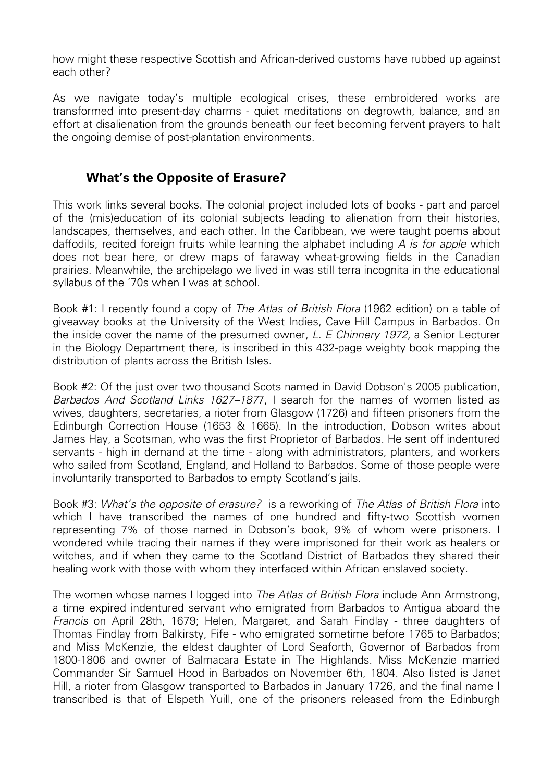how might these respective Scottish and African-derived customs have rubbed up against each other?

As we navigate today's multiple ecological crises, these embroidered works are transformed into present-day charms - quiet meditations on degrowth, balance, and an effort at disalienation from the grounds beneath our feet becoming fervent prayers to halt the ongoing demise of post-plantation environments.

## **What's the Opposite of Erasure?**

This work links several books. The colonial project included lots of books - part and parcel of the (mis)education of its colonial subjects leading to alienation from their histories, landscapes, themselves, and each other. In the Caribbean, we were taught poems about daffodils, recited foreign fruits while learning the alphabet including *A is for apple* which does not bear here, or drew maps of faraway wheat-growing fields in the Canadian prairies. Meanwhile, the archipelago we lived in was still terra incognita in the educational syllabus of the '70s when I was at school.

Book #1: I recently found a copy of *The Atlas of British Flora* (1962 edition) on a table of giveaway books at the University of the West Indies, Cave Hill Campus in Barbados. On the inside cover the name of the presumed owner, *L. E Chinnery 1972,* a Senior Lecturer in the Biology Department there, is inscribed in this 432-page weighty book mapping the distribution of plants across the British Isles.

Book #2: Of the just over two thousand Scots named in David Dobson's 2005 publication, *Barbados And Scotland Links 1627–187*7, I search for the names of women listed as wives, daughters, secretaries, a rioter from Glasgow (1726) and fifteen prisoners from the Edinburgh Correction House (1653 & 1665). In the introduction, Dobson writes about James Hay, a Scotsman, who was the first Proprietor of Barbados. He sent off indentured servants - high in demand at the time - along with administrators, planters, and workers who sailed from Scotland, England, and Holland to Barbados. Some of those people were involuntarily transported to Barbados to empty Scotland's jails.

Book #3: *What's the opposite of erasure?* is a reworking of *The Atlas of British Flora* into which I have transcribed the names of one hundred and fifty-two Scottish women representing 7% of those named in Dobson's book, 9% of whom were prisoners. I wondered while tracing their names if they were imprisoned for their work as healers or witches, and if when they came to the Scotland District of Barbados they shared their healing work with those with whom they interfaced within African enslaved society.

The women whose names I logged into *The Atlas of British Flora* include Ann Armstrong, a time expired indentured servant who emigrated from Barbados to Antigua aboard the *Francis* on April 28th, 1679; Helen, Margaret, and Sarah Findlay - three daughters of Thomas Findlay from Balkirsty, Fife - who emigrated sometime before 1765 to Barbados; and Miss McKenzie, the eldest daughter of Lord Seaforth, Governor of Barbados from 1800-1806 and owner of Balmacara Estate in The Highlands. Miss McKenzie married Commander Sir Samuel Hood in Barbados on November 6th, 1804. Also listed is Janet Hill, a rioter from Glasgow transported to Barbados in January 1726, and the final name I transcribed is that of Elspeth Yuill, one of the prisoners released from the Edinburgh